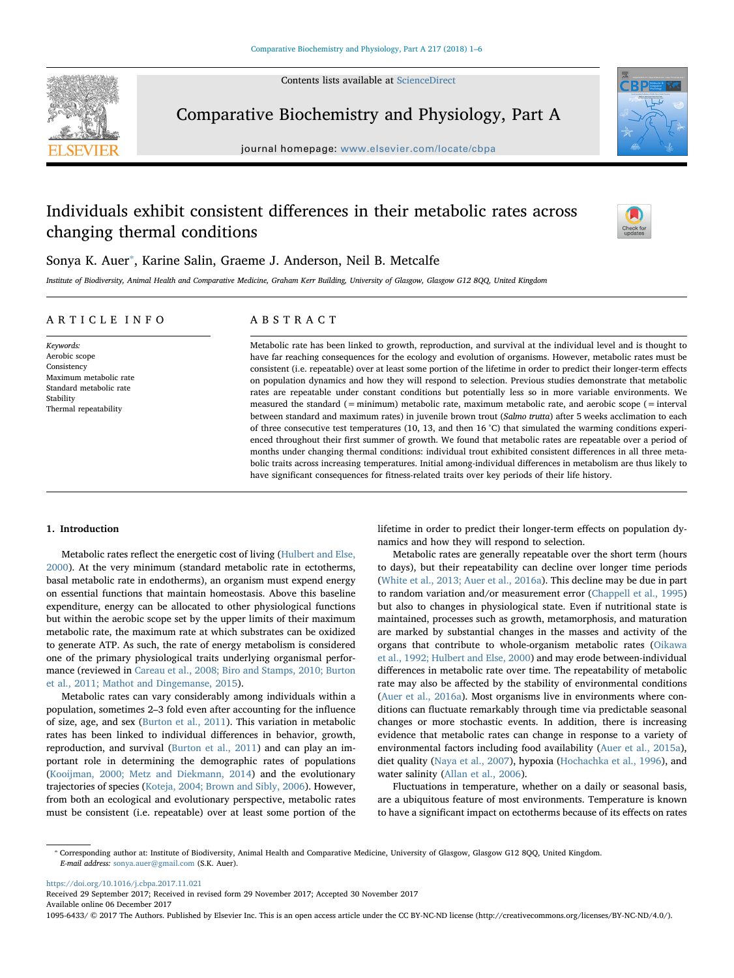Contents lists available at [ScienceDirect](http://www.sciencedirect.com/science/journal/10956433)



Comparative Biochemistry and Physiology, Part A

journal homepage: [www.elsevier.com/locate/cbpa](https://www.elsevier.com/locate/cbpa)

# Individuals exhibit consistent differences in their metabolic rates across changing thermal conditions



## Sonya K. Auer<sup>\*</sup>, Karine Salin, Graeme J. Anderson, Neil B. Metcalfe

Institute of Biodiversity, Animal Health and Comparative Medicine, Graham Kerr Building, University of Glasgow, Glasgow G12 8QQ, United Kingdom

## ARTICLE INFO

Keywords: Aerobic scope Consistency Maximum metabolic rate Standard metabolic rate Stability Thermal repeatability

## ABSTRACT

Metabolic rate has been linked to growth, reproduction, and survival at the individual level and is thought to have far reaching consequences for the ecology and evolution of organisms. However, metabolic rates must be consistent (i.e. repeatable) over at least some portion of the lifetime in order to predict their longer-term effects on population dynamics and how they will respond to selection. Previous studies demonstrate that metabolic rates are repeatable under constant conditions but potentially less so in more variable environments. We measured the standard (=minimum) metabolic rate, maximum metabolic rate, and aerobic scope (= interval between standard and maximum rates) in juvenile brown trout (Salmo trutta) after 5 weeks acclimation to each of three consecutive test temperatures (10, 13, and then 16 °C) that simulated the warming conditions experienced throughout their first summer of growth. We found that metabolic rates are repeatable over a period of months under changing thermal conditions: individual trout exhibited consistent differences in all three metabolic traits across increasing temperatures. Initial among-individual differences in metabolism are thus likely to have significant consequences for fitness-related traits over key periods of their life history.

## 1. Introduction

Metabolic rates reflect the energetic cost of living [\(Hulbert and Else,](#page-5-0) [2000\)](#page-5-0). At the very minimum (standard metabolic rate in ectotherms, basal metabolic rate in endotherms), an organism must expend energy on essential functions that maintain homeostasis. Above this baseline expenditure, energy can be allocated to other physiological functions but within the aerobic scope set by the upper limits of their maximum metabolic rate, the maximum rate at which substrates can be oxidized to generate ATP. As such, the rate of energy metabolism is considered one of the primary physiological traits underlying organismal performance (reviewed in [Careau et al., 2008; Biro and Stamps, 2010; Burton](#page-4-0) [et al., 2011; Mathot and Dingemanse, 2015\)](#page-4-0).

Metabolic rates can vary considerably among individuals within a population, sometimes 2–3 fold even after accounting for the influence of size, age, and sex ([Burton et al., 2011\)](#page-4-1). This variation in metabolic rates has been linked to individual differences in behavior, growth, reproduction, and survival [\(Burton et al., 2011\)](#page-4-1) and can play an important role in determining the demographic rates of populations ([Kooijman, 2000; Metz and Diekmann, 2014](#page-5-1)) and the evolutionary trajectories of species [\(Koteja, 2004; Brown and Sibly, 2006](#page-5-2)). However, from both an ecological and evolutionary perspective, metabolic rates must be consistent (i.e. repeatable) over at least some portion of the lifetime in order to predict their longer-term effects on population dynamics and how they will respond to selection.

Metabolic rates are generally repeatable over the short term (hours to days), but their repeatability can decline over longer time periods ([White et al., 2013; Auer et al., 2016a\)](#page-5-3). This decline may be due in part to random variation and/or measurement error [\(Chappell et al., 1995\)](#page-4-2) but also to changes in physiological state. Even if nutritional state is maintained, processes such as growth, metamorphosis, and maturation are marked by substantial changes in the masses and activity of the organs that contribute to whole-organism metabolic rates ([Oikawa](#page-5-4) [et al., 1992; Hulbert and Else, 2000\)](#page-5-4) and may erode between-individual differences in metabolic rate over time. The repeatability of metabolic rate may also be affected by the stability of environmental conditions ([Auer et al., 2016a\)](#page-4-3). Most organisms live in environments where conditions can fluctuate remarkably through time via predictable seasonal changes or more stochastic events. In addition, there is increasing evidence that metabolic rates can change in response to a variety of environmental factors including food availability ([Auer et al., 2015a](#page-4-4)), diet quality ([Naya et al., 2007\)](#page-5-5), hypoxia ([Hochachka et al., 1996\)](#page-5-6), and water salinity ([Allan et al., 2006\)](#page-4-5).

Fluctuations in temperature, whether on a daily or seasonal basis, are a ubiquitous feature of most environments. Temperature is known to have a significant impact on ectotherms because of its effects on rates

<span id="page-0-0"></span>⁎ Corresponding author at: Institute of Biodiversity, Animal Health and Comparative Medicine, University of Glasgow, Glasgow G12 8QQ, United Kingdom. E-mail address: [sonya.auer@gmail.com](mailto:sonya.auer@gmail.com) (S.K. Auer).

<https://doi.org/10.1016/j.cbpa.2017.11.021>

Received 29 September 2017; Received in revised form 29 November 2017; Accepted 30 November 2017 Available online 06 December 2017

1095-6433/ © 2017 The Authors. Published by Elsevier Inc. This is an open access article under the CC BY-NC-ND license (http://creativecommons.org/licenses/BY-NC-ND/4.0/).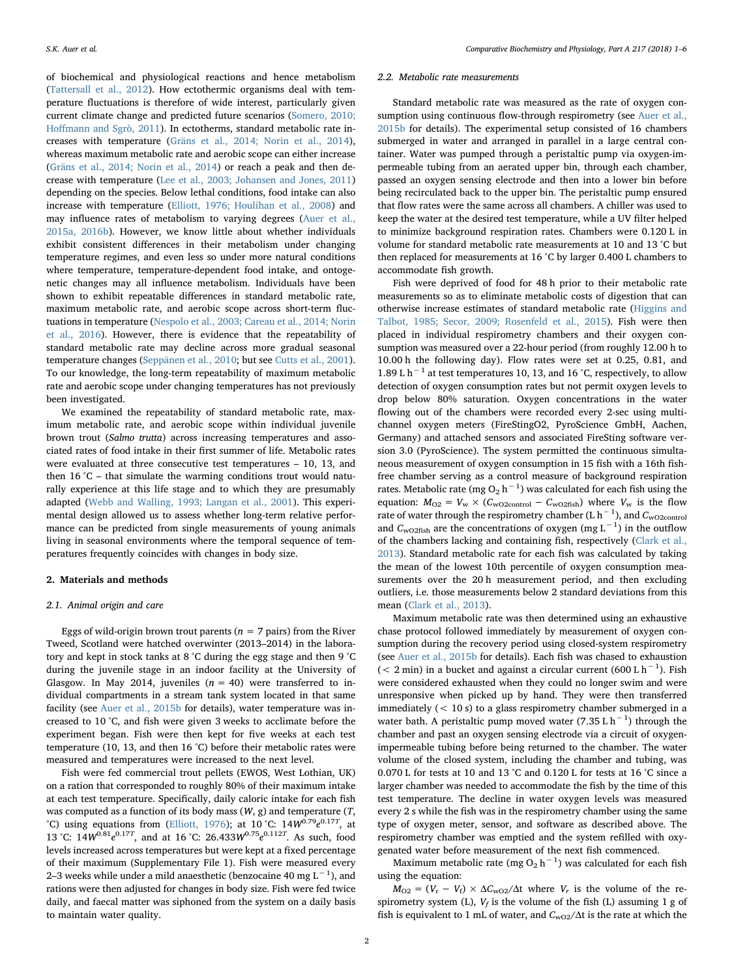of biochemical and physiological reactions and hence metabolism ([Tattersall et al., 2012](#page-5-7)). How ectothermic organisms deal with temperature fluctuations is therefore of wide interest, particularly given current climate change and predicted future scenarios ([Somero, 2010;](#page-5-8) Hoff[mann and Sgrò, 2011](#page-5-8)). In ectotherms, standard metabolic rate increases with temperature [\(Gräns et al., 2014; Norin et al., 2014](#page-5-9)), whereas maximum metabolic rate and aerobic scope can either increase ([Gräns et al., 2014; Norin et al., 2014](#page-5-9)) or reach a peak and then decrease with temperature [\(Lee et al., 2003; Johansen and Jones, 2011\)](#page-5-10) depending on the species. Below lethal conditions, food intake can also increase with temperature [\(Elliott, 1976; Houlihan et al., 2008](#page-5-11)) and may influence rates of metabolism to varying degrees [\(Auer et al.,](#page-4-4) [2015a, 2016b](#page-4-4)). However, we know little about whether individuals exhibit consistent differences in their metabolism under changing temperature regimes, and even less so under more natural conditions where temperature, temperature-dependent food intake, and ontogenetic changes may all influence metabolism. Individuals have been shown to exhibit repeatable differences in standard metabolic rate, maximum metabolic rate, and aerobic scope across short-term fluctuations in temperature ([Nespolo et al., 2003; Careau et al., 2014; Norin](#page-5-12) [et al., 2016\)](#page-5-12). However, there is evidence that the repeatability of standard metabolic rate may decline across more gradual seasonal temperature changes [\(Seppänen et al., 2010](#page-5-13); but see [Cutts et al., 2001](#page-5-14)). To our knowledge, the long-term repeatability of maximum metabolic rate and aerobic scope under changing temperatures has not previously been investigated.

We examined the repeatability of standard metabolic rate, maximum metabolic rate, and aerobic scope within individual juvenile brown trout (Salmo trutta) across increasing temperatures and associated rates of food intake in their first summer of life. Metabolic rates were evaluated at three consecutive test temperatures – 10, 13, and then  $16^{\circ}$ C – that simulate the warming conditions trout would naturally experience at this life stage and to which they are presumably adapted ([Webb and Walling, 1993; Langan et al., 2001\)](#page-5-15). This experimental design allowed us to assess whether long-term relative performance can be predicted from single measurements of young animals living in seasonal environments where the temporal sequence of temperatures frequently coincides with changes in body size.

#### 2. Materials and methods

#### 2.1. Animal origin and care

Eggs of wild-origin brown trout parents ( $n = 7$  pairs) from the River Tweed, Scotland were hatched overwinter (2013–2014) in the laboratory and kept in stock tanks at 8 °C during the egg stage and then 9 °C during the juvenile stage in an indoor facility at the University of Glasgow. In May 2014, juveniles  $(n = 40)$  were transferred to individual compartments in a stream tank system located in that same facility (see [Auer et al., 2015b](#page-4-6) for details), water temperature was increased to 10 °C, and fish were given 3 weeks to acclimate before the experiment began. Fish were then kept for five weeks at each test temperature (10, 13, and then 16 °C) before their metabolic rates were measured and temperatures were increased to the next level.

Fish were fed commercial trout pellets (EWOS, West Lothian, UK) on a ration that corresponded to roughly 80% of their maximum intake at each test temperature. Specifically, daily caloric intake for each fish was computed as a function of its body mass  $(W, g)$  and temperature  $(T, g)$ °C) using equations from [\(Elliott, 1976](#page-5-11)); at 10 °C:  $14W^{0.79}e^{0.17T}$ , at 13 °C:  $14W^{0.81}e^{0.17T}$ , and at 16 °C:  $26.433W^{0.75}e^{0.112T}$ . As such, food levels increased across temperatures but were kept at a fixed percentage of their maximum (Supplementary File 1). Fish were measured every 2–3 weeks while under a mild anaesthetic (benzocaine 40 mg  $\text{L}^{-1}$ ), and rations were then adjusted for changes in body size. Fish were fed twice daily, and faecal matter was siphoned from the system on a daily basis to maintain water quality.

#### 2.2. Metabolic rate measurements

Standard metabolic rate was measured as the rate of oxygen consumption using continuous flow-through respirometry (see [Auer et al.,](#page-4-6) [2015b](#page-4-6) for details). The experimental setup consisted of 16 chambers submerged in water and arranged in parallel in a large central container. Water was pumped through a peristaltic pump via oxygen-impermeable tubing from an aerated upper bin, through each chamber, passed an oxygen sensing electrode and then into a lower bin before being recirculated back to the upper bin. The peristaltic pump ensured that flow rates were the same across all chambers. A chiller was used to keep the water at the desired test temperature, while a UV filter helped to minimize background respiration rates. Chambers were 0.120 L in volume for standard metabolic rate measurements at 10 and 13 °C but then replaced for measurements at 16 °C by larger 0.400 L chambers to accommodate fish growth.

Fish were deprived of food for 48 h prior to their metabolic rate measurements so as to eliminate metabolic costs of digestion that can otherwise increase estimates of standard metabolic rate [\(Higgins and](#page-5-16) [Talbot, 1985; Secor, 2009; Rosenfeld et al., 2015](#page-5-16)). Fish were then placed in individual respirometry chambers and their oxygen consumption was measured over a 22-hour period (from roughly 12.00 h to 10.00 h the following day). Flow rates were set at 0.25, 0.81, and 1.89 L h−<sup>1</sup> at test temperatures 10, 13, and 16 °C, respectively, to allow detection of oxygen consumption rates but not permit oxygen levels to drop below 80% saturation. Oxygen concentrations in the water flowing out of the chambers were recorded every 2-sec using multichannel oxygen meters (FireStingO2, PyroScience GmbH, Aachen, Germany) and attached sensors and associated FireSting software version 3.0 (PyroScience). The system permitted the continuous simultaneous measurement of oxygen consumption in 15 fish with a 16th fishfree chamber serving as a control measure of background respiration rates. Metabolic rate (mg O<sub>2</sub> h<sup>-1</sup>) was calculated for each fish using the equation:  $M_{O2} = V_w \times (C_{wO2control} - C_{wO2fish})$  where  $V_w$  is the flow rate of water through the respirometry chamber (L  $h^{-1}$ ), and  $C_{\text{wO2control}}$ and  $C_{\text{wO2fish}}$  are the concentrations of oxygen (mg L<sup>-1</sup>) in the outflow of the chambers lacking and containing fish, respectively ([Clark et al.,](#page-5-17) [2013\)](#page-5-17). Standard metabolic rate for each fish was calculated by taking the mean of the lowest 10th percentile of oxygen consumption measurements over the 20 h measurement period, and then excluding outliers, i.e. those measurements below 2 standard deviations from this mean [\(Clark et al., 2013\)](#page-5-17).

Maximum metabolic rate was then determined using an exhaustive chase protocol followed immediately by measurement of oxygen consumption during the recovery period using closed-system respirometry (see [Auer et al., 2015b](#page-4-6) for details). Each fish was chased to exhaustion (< 2 min) in a bucket and against a circular current (600 L  $h^{-1}$ ). Fish were considered exhausted when they could no longer swim and were unresponsive when picked up by hand. They were then transferred immediately (< 10 s) to a glass respirometry chamber submerged in a water bath. A peristaltic pump moved water (7.35 L  $h^{-1}$ ) through the chamber and past an oxygen sensing electrode via a circuit of oxygenimpermeable tubing before being returned to the chamber. The water volume of the closed system, including the chamber and tubing, was 0.070 L for tests at 10 and 13 °C and 0.120 L for tests at 16 °C since a larger chamber was needed to accommodate the fish by the time of this test temperature. The decline in water oxygen levels was measured every 2 s while the fish was in the respirometry chamber using the same type of oxygen meter, sensor, and software as described above. The respirometry chamber was emptied and the system refilled with oxygenated water before measurement of the next fish commenced.

Maximum metabolic rate (mg O<sub>2</sub> h<sup>-1</sup>) was calculated for each fish using the equation:

 $M_{O2} = (V_r - V_f) \times \Delta C_{WO2}/\Delta t$  where  $V_r$  is the volume of the respirometry system (L),  $V_f$  is the volume of the fish (L) assuming 1 g of fish is equivalent to 1 mL of water, and  $C_{\text{wO2}}/\Delta t$  is the rate at which the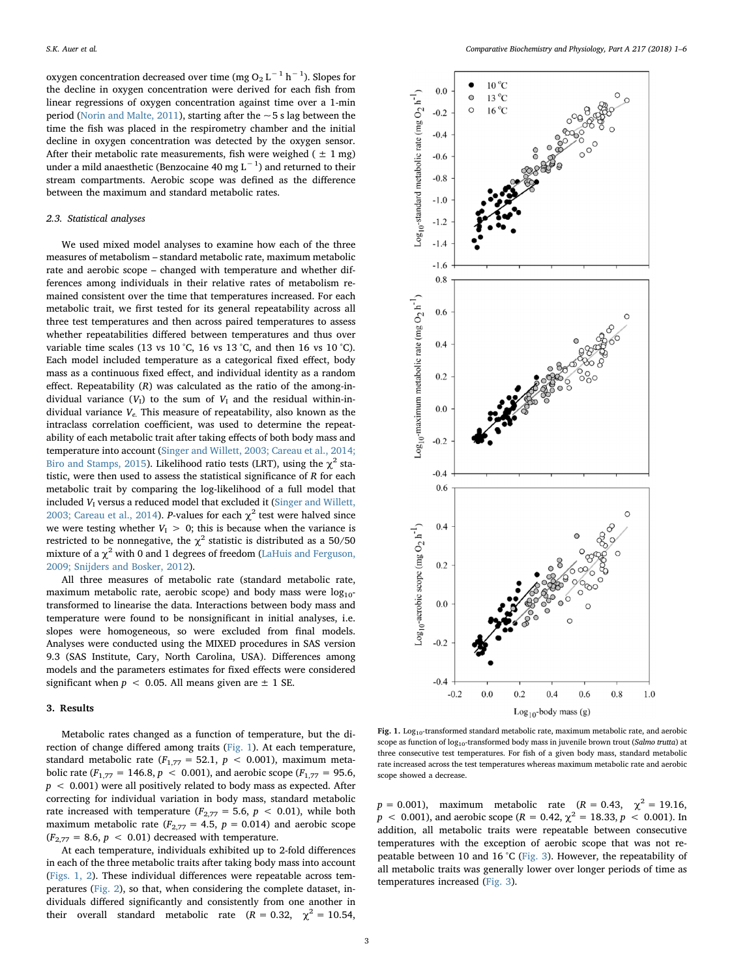oxygen concentration decreased over time (mg O<sub>2</sub> L $^{-1}$  h $^{-1}$ ). Slopes for the decline in oxygen concentration were derived for each fish from linear regressions of oxygen concentration against time over a 1-min period [\(Norin and Malte, 2011](#page-5-18)), starting after the  $\sim$  5 s lag between the time the fish was placed in the respirometry chamber and the initial decline in oxygen concentration was detected by the oxygen sensor. After their metabolic rate measurements, fish were weighed ( $\pm 1$  mg) under a mild anaesthetic (Benzocaine 40 mg L $^{-1}$ ) and returned to their stream compartments. Aerobic scope was defined as the difference between the maximum and standard metabolic rates.

### 2.3. Statistical analyses

We used mixed model analyses to examine how each of the three measures of metabolism – standard metabolic rate, maximum metabolic rate and aerobic scope – changed with temperature and whether differences among individuals in their relative rates of metabolism remained consistent over the time that temperatures increased. For each metabolic trait, we first tested for its general repeatability across all three test temperatures and then across paired temperatures to assess whether repeatabilities differed between temperatures and thus over variable time scales (13 vs 10 °C, 16 vs 13 °C, and then 16 vs 10 °C). Each model included temperature as a categorical fixed effect, body mass as a continuous fixed effect, and individual identity as a random effect. Repeatability (R) was calculated as the ratio of the among-individual variance  $(V_I)$  to the sum of  $V_I$  and the residual within-individual variance  $V_e$ . This measure of repeatability, also known as the intraclass correlation coefficient, was used to determine the repeatability of each metabolic trait after taking effects of both body mass and temperature into account [\(Singer and Willett, 2003; Careau et al., 2014;](#page-5-19) [Biro and Stamps, 2015\)](#page-5-19). Likelihood ratio tests (LRT), using the  $\chi^2$  statistic, were then used to assess the statistical significance of  $R$  for each metabolic trait by comparing the log-likelihood of a full model that included  $V_I$  versus a reduced model that excluded it [\(Singer and Willett,](#page-5-19) [2003; Careau et al., 2014](#page-5-19)). P-values for each  $\chi^2$  test were halved since we were testing whether  $V_I > 0$ ; this is because when the variance is restricted to be nonnegative, the  $\chi^2$  statistic is distributed as a 50/50 mixture of a  $\chi^2$  with 0 and 1 degrees of freedom ([LaHuis and Ferguson,](#page-5-20) [2009; Snijders and Bosker, 2012](#page-5-20)).

All three measures of metabolic rate (standard metabolic rate, maximum metabolic rate, aerobic scope) and body mass were  $log_{10}$ transformed to linearise the data. Interactions between body mass and temperature were found to be nonsignificant in initial analyses, i.e. slopes were homogeneous, so were excluded from final models. Analyses were conducted using the MIXED procedures in SAS version 9.3 (SAS Institute, Cary, North Carolina, USA). Differences among models and the parameters estimates for fixed effects were considered significant when  $p < 0.05$ . All means given are  $\pm$  1 SE.

## 3. Results

Metabolic rates changed as a function of temperature, but the direction of change differed among traits [\(Fig. 1\)](#page-2-0). At each temperature, standard metabolic rate ( $F_{1,77} = 52.1$ ,  $p < 0.001$ ), maximum metabolic rate ( $F_{1,77} = 146.8$ ,  $p < 0.001$ ), and aerobic scope ( $F_{1,77} = 95.6$ ),  $p < 0.001$ ) were all positively related to body mass as expected. After correcting for individual variation in body mass, standard metabolic rate increased with temperature ( $F_{2,77} = 5.6$ ,  $p < 0.01$ ), while both maximum metabolic rate  $(F_{2,77} = 4.5, p = 0.014)$  and aerobic scope  $(F_{2,77} = 8.6, p < 0.01)$  decreased with temperature.

At each temperature, individuals exhibited up to 2-fold differences in each of the three metabolic traits after taking body mass into account ([Figs. 1, 2\)](#page-2-0). These individual differences were repeatable across temperatures [\(Fig. 2\)](#page-3-0), so that, when considering the complete dataset, individuals differed significantly and consistently from one another in their overall standard metabolic rate ( $R = 0.32$ ,  $\chi^2 = 10.54$ ,

<span id="page-2-0"></span>

Fig. 1. Log<sub>10</sub>-transformed standard metabolic rate, maximum metabolic rate, and aerobic scope as function of  $log_{10}$ -transformed body mass in juvenile brown trout (Salmo trutta) at three consecutive test temperatures. For fish of a given body mass, standard metabolic rate increased across the test temperatures whereas maximum metabolic rate and aerobic scope showed a decrease

 $p = 0.001$ ), maximum metabolic rate ( $R = 0.43$ ,  $\chi^2 = 19.16$ ,  $p < 0.001$ ), and aerobic scope ( $R = 0.42$ ,  $\chi^2 = 18.33$ ,  $p < 0.001$ ). In addition, all metabolic traits were repeatable between consecutive temperatures with the exception of aerobic scope that was not repeatable between 10 and 16 °C ([Fig. 3](#page-4-7)). However, the repeatability of all metabolic traits was generally lower over longer periods of time as temperatures increased ([Fig. 3\)](#page-4-7).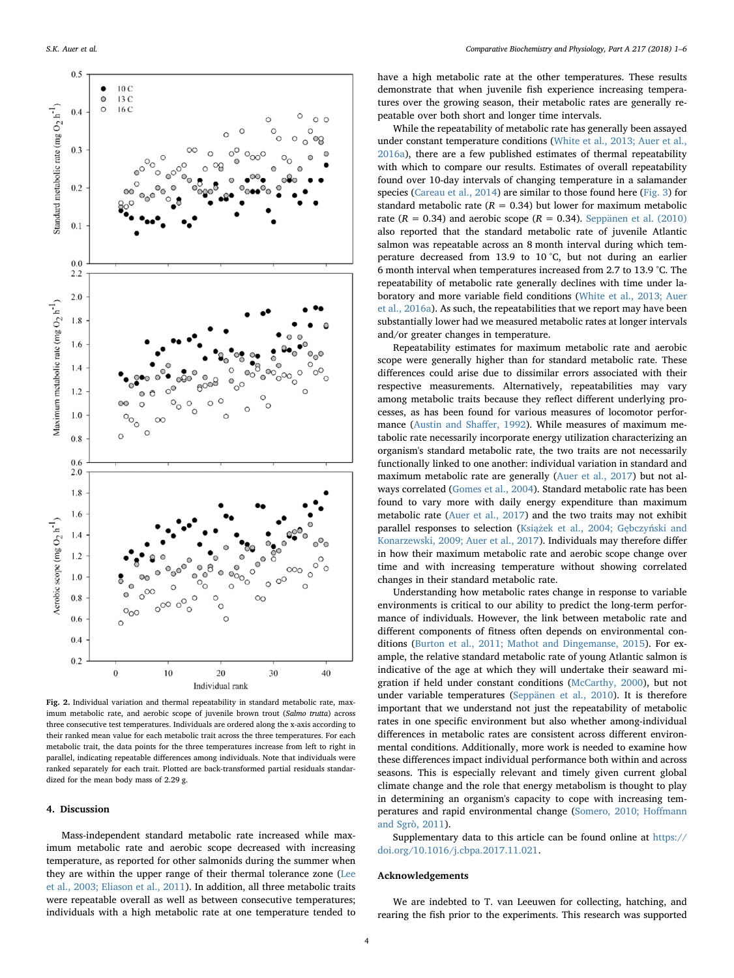<span id="page-3-0"></span>

Fig. 2. Individual variation and thermal repeatability in standard metabolic rate, maximum metabolic rate, and aerobic scope of juvenile brown trout (Salmo trutta) across three consecutive test temperatures. Individuals are ordered along the x-axis according to their ranked mean value for each metabolic trait across the three temperatures. For each metabolic trait, the data points for the three temperatures increase from left to right in parallel, indicating repeatable differences among individuals. Note that individuals were ranked separately for each trait. Plotted are back-transformed partial residuals standardized for the mean body mass of 2.29 g.

### 4. Discussion

Mass-independent standard metabolic rate increased while maximum metabolic rate and aerobic scope decreased with increasing temperature, as reported for other salmonids during the summer when they are within the upper range of their thermal tolerance zone ([Lee](#page-5-10) [et al., 2003; Eliason et al., 2011](#page-5-10)). In addition, all three metabolic traits were repeatable overall as well as between consecutive temperatures; individuals with a high metabolic rate at one temperature tended to have a high metabolic rate at the other temperatures. These results demonstrate that when juvenile fish experience increasing temperatures over the growing season, their metabolic rates are generally repeatable over both short and longer time intervals.

While the repeatability of metabolic rate has generally been assayed under constant temperature conditions ([White et al., 2013; Auer et al.,](#page-5-3) [2016a\)](#page-5-3), there are a few published estimates of thermal repeatability with which to compare our results. Estimates of overall repeatability found over 10-day intervals of changing temperature in a salamander species ([Careau et al., 2014](#page-4-8)) are similar to those found here [\(Fig. 3](#page-4-7)) for standard metabolic rate  $(R = 0.34)$  but lower for maximum metabolic rate ( $R = 0.34$ ) and aerobic scope ( $R = 0.34$ ). [Seppänen et al. \(2010\)](#page-5-13) also reported that the standard metabolic rate of juvenile Atlantic salmon was repeatable across an 8 month interval during which temperature decreased from 13.9 to 10 °C, but not during an earlier 6 month interval when temperatures increased from 2.7 to 13.9 °C. The repeatability of metabolic rate generally declines with time under laboratory and more variable field conditions [\(White et al., 2013; Auer](#page-5-3) [et al., 2016a](#page-5-3)). As such, the repeatabilities that we report may have been substantially lower had we measured metabolic rates at longer intervals and/or greater changes in temperature.

Repeatability estimates for maximum metabolic rate and aerobic scope were generally higher than for standard metabolic rate. These differences could arise due to dissimilar errors associated with their respective measurements. Alternatively, repeatabilities may vary among metabolic traits because they reflect different underlying processes, as has been found for various measures of locomotor performance ([Austin and Sha](#page-4-9)ffer, 1992). While measures of maximum metabolic rate necessarily incorporate energy utilization characterizing an organism's standard metabolic rate, the two traits are not necessarily functionally linked to one another: individual variation in standard and maximum metabolic rate are generally [\(Auer et al., 2017](#page-4-10)) but not always correlated [\(Gomes et al., 2004\)](#page-5-21). Standard metabolic rate has been found to vary more with daily energy expenditure than maximum metabolic rate [\(Auer et al., 2017](#page-4-10)) and the two traits may not exhibit parallel responses to selection (Książ[ek et al., 2004; G](#page-5-22)ębczyński and [Konarzewski, 2009; Auer et al., 2017\)](#page-5-22). Individuals may therefore differ in how their maximum metabolic rate and aerobic scope change over time and with increasing temperature without showing correlated changes in their standard metabolic rate.

Understanding how metabolic rates change in response to variable environments is critical to our ability to predict the long-term performance of individuals. However, the link between metabolic rate and different components of fitness often depends on environmental conditions ([Burton et al., 2011; Mathot and Dingemanse, 2015\)](#page-4-1). For example, the relative standard metabolic rate of young Atlantic salmon is indicative of the age at which they will undertake their seaward migration if held under constant conditions ([McCarthy, 2000\)](#page-5-23), but not under variable temperatures ([Seppänen et al., 2010\)](#page-5-13). It is therefore important that we understand not just the repeatability of metabolic rates in one specific environment but also whether among-individual differences in metabolic rates are consistent across different environmental conditions. Additionally, more work is needed to examine how these differences impact individual performance both within and across seasons. This is especially relevant and timely given current global climate change and the role that energy metabolism is thought to play in determining an organism's capacity to cope with increasing temperatures and rapid environmental change ([Somero, 2010; Ho](#page-5-8)ffmann [and Sgrò, 2011\)](#page-5-8).

Supplementary data to this article can be found online at [https://](https://doi.org/10.1016/j.cbpa.2017.11.021) [doi.org/10.1016/j.cbpa.2017.11.021.](https://doi.org/10.1016/j.cbpa.2017.11.021)

#### Acknowledgements

We are indebted to T. van Leeuwen for collecting, hatching, and rearing the fish prior to the experiments. This research was supported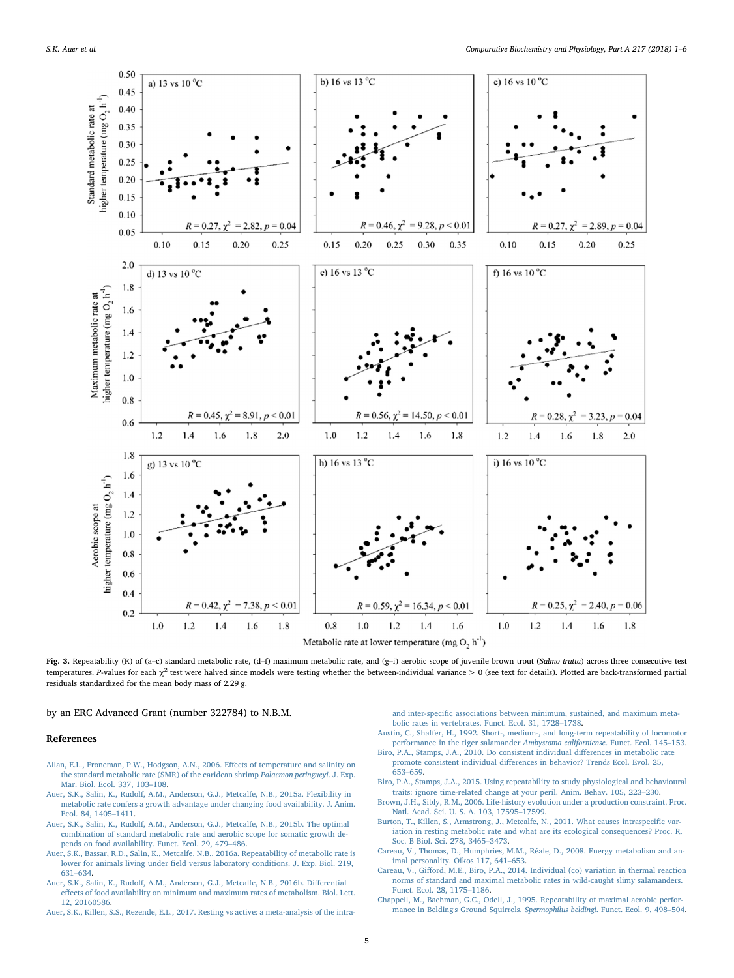<span id="page-4-7"></span>

Fig. 3. Repeatability (R) of (a-c) standard metabolic rate, (d-f) maximum metabolic rate, and (g-i) aerobic scope of juvenile brown trout (Salmo trutta) across three consecutive test temperatures. P-values for each  $\chi^2$  test were halved since models were testing whether the between-individual variance > 0 (see text for details). Plotted are back-transformed partial residuals standardized for the mean body mass of 2.29 g.

by an ERC Advanced Grant (number 322784) to N.B.M.

#### References

- <span id="page-4-5"></span>[Allan, E.L., Froneman, P.W., Hodgson, A.N., 2006. E](http://refhub.elsevier.com/S1095-6433(17)30255-6/rf0005)ffects of temperature and salinity on [the standard metabolic rate \(SMR\) of the caridean shrimp](http://refhub.elsevier.com/S1095-6433(17)30255-6/rf0005) Palaemon peringueyi. J. Exp. [Mar. Biol. Ecol. 337, 103](http://refhub.elsevier.com/S1095-6433(17)30255-6/rf0005)–108.
- <span id="page-4-4"></span>[Auer, S.K., Salin, K., Rudolf, A.M., Anderson, G.J., Metcalfe, N.B., 2015a. Flexibility in](http://refhub.elsevier.com/S1095-6433(17)30255-6/rf0010) [metabolic rate confers a growth advantage under changing food availability. J. Anim.](http://refhub.elsevier.com/S1095-6433(17)30255-6/rf0010) [Ecol. 84, 1405](http://refhub.elsevier.com/S1095-6433(17)30255-6/rf0010)–1411.
- <span id="page-4-6"></span>[Auer, S.K., Salin, K., Rudolf, A.M., Anderson, G.J., Metcalfe, N.B., 2015b. The optimal](http://refhub.elsevier.com/S1095-6433(17)30255-6/rf0015) [combination of standard metabolic rate and aerobic scope for somatic growth de](http://refhub.elsevier.com/S1095-6433(17)30255-6/rf0015)[pends on food availability. Funct. Ecol. 29, 479](http://refhub.elsevier.com/S1095-6433(17)30255-6/rf0015)–486.
- <span id="page-4-3"></span>[Auer, S.K., Bassar, R.D., Salin, K., Metcalfe, N.B., 2016a. Repeatability of metabolic rate is](http://refhub.elsevier.com/S1095-6433(17)30255-6/rf0020) lower for animals living under fi[eld versus laboratory conditions. J. Exp. Biol. 219,](http://refhub.elsevier.com/S1095-6433(17)30255-6/rf0020) 631–[634](http://refhub.elsevier.com/S1095-6433(17)30255-6/rf0020).
- [Auer, S.K., Salin, K., Rudolf, A.M., Anderson, G.J., Metcalfe, N.B., 2016b. Di](http://refhub.elsevier.com/S1095-6433(17)30255-6/rf0025)fferential eff[ects of food availability on minimum and maximum rates of metabolism. Biol. Lett.](http://refhub.elsevier.com/S1095-6433(17)30255-6/rf0025) [12, 20160586](http://refhub.elsevier.com/S1095-6433(17)30255-6/rf0025).

<span id="page-4-10"></span>[Auer, S.K., Killen, S.S., Rezende, E.L., 2017. Resting vs active: a meta-analysis of the intra-](http://refhub.elsevier.com/S1095-6433(17)30255-6/rf0030)

and inter-specifi[c associations between minimum, sustained, and maximum meta](http://refhub.elsevier.com/S1095-6433(17)30255-6/rf0030)[bolic rates in vertebrates. Funct. Ecol. 31, 1728](http://refhub.elsevier.com/S1095-6433(17)30255-6/rf0030)–1738.

- <span id="page-4-9"></span>Austin, C., Shaff[er, H., 1992. Short-, medium-, and long-term repeatability of locomotor](http://refhub.elsevier.com/S1095-6433(17)30255-6/rf0035) [performance in the tiger salamander](http://refhub.elsevier.com/S1095-6433(17)30255-6/rf0035) Ambystoma californiense. Funct. Ecol. 145–153.
- [Biro, P.A., Stamps, J.A., 2010. Do consistent individual di](http://refhub.elsevier.com/S1095-6433(17)30255-6/rf0040)fferences in metabolic rate promote consistent individual diff[erences in behavior? Trends Ecol. Evol. 25,](http://refhub.elsevier.com/S1095-6433(17)30255-6/rf0040) 653–[659](http://refhub.elsevier.com/S1095-6433(17)30255-6/rf0040).
- [Biro, P.A., Stamps, J.A., 2015. Using repeatability to study physiological and behavioural](http://refhub.elsevier.com/S1095-6433(17)30255-6/rf0045) [traits: ignore time-related change at your peril. Anim. Behav. 105, 223](http://refhub.elsevier.com/S1095-6433(17)30255-6/rf0045)–230.
- [Brown, J.H., Sibly, R.M., 2006. Life-history evolution under a production constraint. Proc.](http://refhub.elsevier.com/S1095-6433(17)30255-6/rf0050) [Natl. Acad. Sci. U. S. A. 103, 17595](http://refhub.elsevier.com/S1095-6433(17)30255-6/rf0050)–17599.
- <span id="page-4-1"></span>[Burton, T., Killen, S., Armstrong, J., Metcalfe, N., 2011. What causes intraspeci](http://refhub.elsevier.com/S1095-6433(17)30255-6/rf0055)fic var[iation in resting metabolic rate and what are its ecological consequences? Proc. R.](http://refhub.elsevier.com/S1095-6433(17)30255-6/rf0055) [Soc. B Biol. Sci. 278, 3465](http://refhub.elsevier.com/S1095-6433(17)30255-6/rf0055)–3473.
- <span id="page-4-0"></span>[Careau, V., Thomas, D., Humphries, M.M., Réale, D., 2008. Energy metabolism and an](http://refhub.elsevier.com/S1095-6433(17)30255-6/rf0060)[imal personality. Oikos 117, 641](http://refhub.elsevier.com/S1095-6433(17)30255-6/rf0060)–653.
- <span id="page-4-8"></span>Careau, V., Giff[ord, M.E., Biro, P.A., 2014. Individual \(co\) variation in thermal reaction](http://refhub.elsevier.com/S1095-6433(17)30255-6/rf0065) [norms of standard and maximal metabolic rates in wild-caught slimy salamanders.](http://refhub.elsevier.com/S1095-6433(17)30255-6/rf0065) [Funct. Ecol. 28, 1175](http://refhub.elsevier.com/S1095-6433(17)30255-6/rf0065)–1186.
- <span id="page-4-2"></span>[Chappell, M., Bachman, G.C., Odell, J., 1995. Repeatability of maximal aerobic perfor](http://refhub.elsevier.com/S1095-6433(17)30255-6/rf0070)[mance in Belding's Ground Squirrels,](http://refhub.elsevier.com/S1095-6433(17)30255-6/rf0070) Spermophilus beldingi. Funct. Ecol. 9, 498–504.